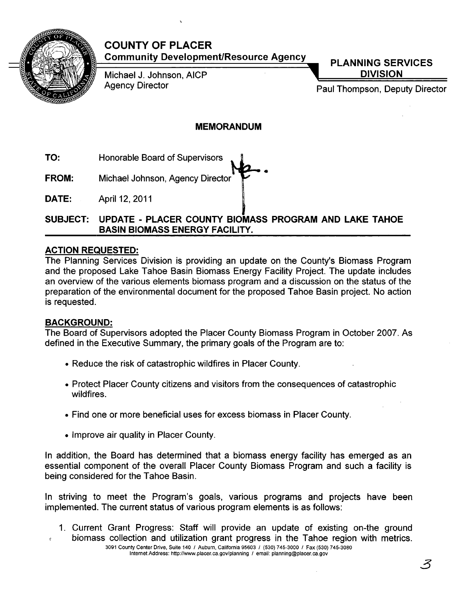

# **COUNTY OF PLACER Community Development/Resource Agency PLANNING SERVICES**

Michael J. Johnson, AICP

**DIVISION** 

Agency Director **Paul Thompson, Deputy Director** 

# **MEMORANDUM**

- **TO:** Honorable Board of Supervisors
- **.......... -. FROM:** Michael Johnson, Agency Director
- **DATE:** April 12, 2011

# **SUBJECT: UPDATE - PLACER COUNTY BIOMASS PROGRAM AND LAKE TAHOE BASIN BIOMASS ENERGY FACILITY.**

# **ACTION REQUESTED:**

The Planning Services Division is providing an update on the County's Biomass Program and the proposed Lake Tahoe Basin Biomass Energy Facility Project. The update includes an overview of the various elements biomass program and a discussion on the status of the preparation of the environmental document for the proposed Tahoe Basin project. No action is requested.

# **BACKGROUND:**

The Board of Supervisors adopted the Placer County Biomass Program in October 2007. As defined in the Executive Summary, the primary goals of the Program are to:

- Reduce the risk of catastrophic wildfires in Placer County.
- Protect Placer County citizens and visitors from the consequences of catastrophic wildfires.
- Find one or more beneficial uses for excess biomass in Placer County.
- Improve air quality in Placer County.

In addition, the Board has determined that a biomass energy facility has emerged as an essential component of the overall Placer County Biomass Program and such a facility is being considered for the Tahoe Basin.

In striving to meet the Program's goals, various programs and projects have been implemented. The current status of various program elements is as follows:

- 1. Current Grant Progress: Staff will provide an update of existing on-the ground
- biomass collection and utilization grant progress in the Tahoe region with metrics. 3091 County Center Drive, Suite 140 I Auburn, California 95603 I (530) 745-3000 I Fax (530) 745-3080 Internet Address: http://www.placer.ca.gov/planning / email: planning@placer.ca.gov

ろ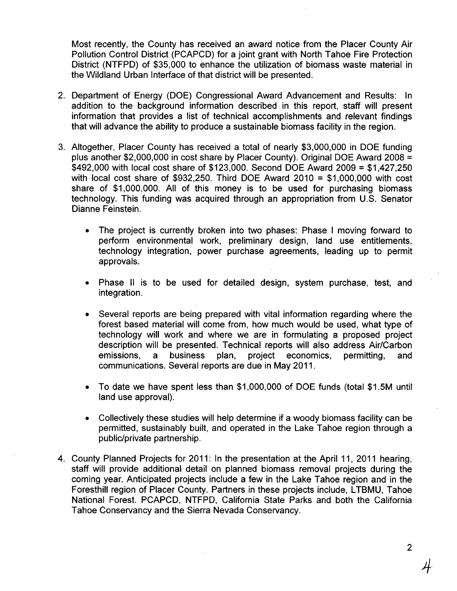Most recently, the County has received an award notice from the Placer County Air Pollution Control District (PCAPCD) for a joint grant with North Tahoe Fire Protection District (NTFPD) of \$35,000 to enhance the utilization of biomass waste material in the Wildland Urban Interface of that district will be presented.

- 2. Department of Energy (DOE) Congressional Award Advancement and Results: In addition to the background information described in this report, staff will present information that provides a list of technical accomplishments and relevant findings that will advance the ability to produce a sustainable biomass facility in the region.
- 3. Altogether, Placer County has received a total of nearly \$3,000,000 in DOE funding plus another \$2,000,000 in cost share by Placer County). Original DOE Award 2008 = \$492,000 with local cost share of \$123,000. Second DOE Award 2009 = \$1,427,250 with local cost share of \$932,250. Third DOE Award 2010 = \$1,000,000 with cost share of \$1,000,000. All of this money is to be used for purchasing biomass technology. This funding was acquired through an appropriation from U.S. Senator Dianne Feinstein. .
	- The project is currently broken into two phases: Phase I moving forward to perform environmental work, preliminary design, land use entitlements, technology integration, power purchase agreements, leading up to permit approvals.
	- Phase II is to be used for detailed design, system purchase, test, and integration.
	- Several reports are being prepared with vital information regarding where the forest based material will come from, how much would be used, what type of technology will work and where we are in formulating a proposed project description will be presented. Technical reports will also address Air/Carbon emissions, a business plan, project economics, permitting, and communications. Several reports are due in May 2011.
	- To date we have spent less than \$1,000,000 of DOE funds (total \$1.5M until land use approval).
	- Collectively these studies will help determine if a woody biomass facility can be permitted, sustainably built, and operated in the Lake Tahoe region through a public/private partnership.
- 4. County Planned Projects for 2011: In the presentation at the April 11, 2011 hearing, staff will provide additional detail on planned biomass removal projects during the coming year. Anticipated projects include a few in the Lake Tahoe region and in the Foresthill region of Placer County. Partners in these projects include, LTBMU, Tahoe National Forest. PCAPCD, NTFPD, California State Parks and both the California Tahoe Conservancy and the Sierra Nevada Conservancy.

2

 $+$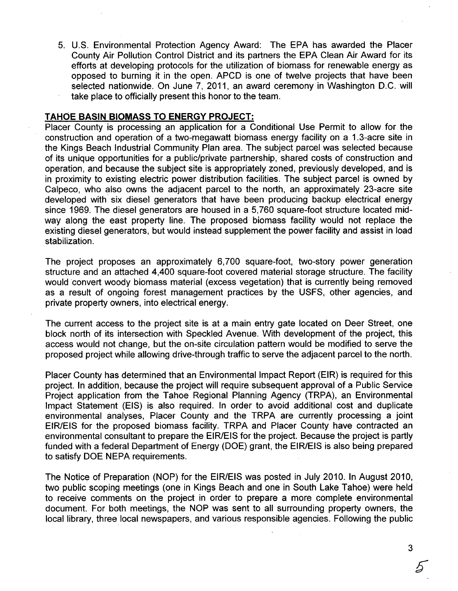5. U.S. Environmental Protection Agency Award: The EPA has awarded the Placer County Air Pollution Control District and its partners the EPA Clean Air Award for its efforts at developing protocols for the utilization of biomass for renewable energy as opposed to burning it in the open. APCD is one of twelve projects that have been selected nationwide. On June 7, 2011, an award ceremony in Washington D.C. will take place to officially present this honor to the team.

## **TAHOE BASIN BIOMASS TO ENERGY PROJECT:**

Placer County is processing an application for a Conditional Use Permit to allow for the construction and operation of a two-megawatt biomass energy facility on a 1.3-acre site in the Kings Beach Industrial Community Plan area. The subject parcel was selected because of its unique opportunities for a public/private partnership, shared costs of construction and operation, and because the subject site is appropriately zoned, previously developed, and is in proximity to existing electric power distribution facilities. The subject parcel is owned by Calpeco, who also owns the adjacent parcel to the north, an approximately 23-acre site developed with six diesel generators that have been producing backup electrical energy since 1969. The diesel generators are housed in a 5,760 square-foot structure located midway along the east property line. The proposed biomass facility would not replace the existing diesel generators, but would instead supplement the power facility and assist in load stabilization.

The project proposes an approximately 6,700 square-foot, two-story power generation structure and an attached 4,400 square-foot covered material storage structure. The facility would convert woody biomass material (excess vegetation) that is currently being removed as a result of ongoing forest management practices by the USFS, other agencies, and private property owners, into electrical energy.

The current access to the project site is at a main entry gate located on Deer Street, one block north of its intersection with Speckled Avenue. With development of the project, this access would not change, but the on-site circulation pattern would be modified to serve the proposed project while allowing drive-through traffic to serve the adjacent parcel to the north.

Placer County has determined that an Environmental Impact Report (EIR) is required for this project. In addition, because the project will require subsequent approval of a Public Service Project application from the Tahoe Regional Planning Agency (TRPA), an Environmental Impact Statement (EIS) is also required. In order to avoid additional cost and duplicate environmental analyses, Placer County and the TRPA are currently processing a joint EIR/EIS for the proposed biomass facility. TRPA and Placer County have contracted an environmental consultant to prepare the EIR/EIS for the project. Because the project is partly funded with a federal Department of Energy (DOE) grant, the EIR/EIS is also being prepared to satisfy DOE NEPA requirements.

The Notice of Preparation (NOP) for the EIR/EIS was posted in July 2010. In August 2010, two public scoping meetings (one in Kings Beach and one in South Lake Tahoe) were held· to receive comments on the project in order to prepare a more complete environmental document. For both meetings, the NOP was sent to all surrounding property owners, the local library, three local newspapers, and various responsible agencies. Following the public

3